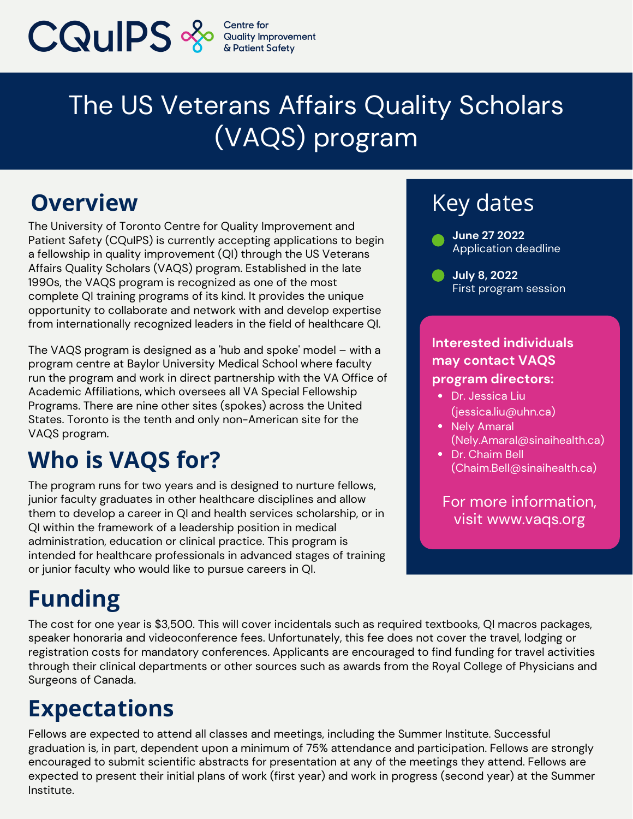

# The US Veterans Affairs Quality Scholars (VAQS) program

### **Overview**

The University of Toronto Centre for Quality Improvement and Patient Safety (CQuIPS) is currently accepting applications to begin a fellowship in quality improvement (QI) through the US Veterans Affairs Quality Scholars (VAQS) program. Established in the late 1990s, the VAQS program is recognized as one of the most complete QI training programs of its kind. It provides the unique opportunity to collaborate and network with and develop expertise from internationally recognized leaders in the field of healthcare QI.

The VAQS program is designed as a 'hub and spoke' model – with a program centre at Baylor University Medical School where faculty run the program and work in direct partnership with the VA Office of Academic Affiliations, which oversees all VA Special Fellowship Programs. There are nine other sites (spokes) across the United States. Toronto is the tenth and only non-American site for the VAQS program.

### **Who is VAQS for?**

The program runs for two years and is designed to nurture fellows, junior faculty graduates in other healthcare disciplines and allow them to develop a career in QI and health services scholarship, or in QI within the framework of a leadership position in medical administration, education or clinical practice. This program is intended for healthcare professionals in advanced stages of training or junior faculty who would like to pursue careers in QI.

## Key dates

- **June 27 2022** Application deadline
- **July 8, 2022** First program session

#### **Interested individuals may contact VAQS program directors:**

- Dr. Jessica Liu [\(jessica.liu@uhn.ca](mailto:jessica.liu@uhn.ca))
- Nely Amaral [\(Nely.Amaral@sinaihealth.ca\)](mailto:Nely.Amaral@sinaihealth.ca)
- Dr. Chaim Bell [\(Chaim.Bell@sinaihealth.ca](mailto:Chaim.Bell@sinaihealth.ca))

For more information, visit www.vaqs.org

# **Funding**

The cost for one year is \$3,500. This will cover incidentals such as required textbooks, QI macros packages, speaker honoraria and videoconference fees. Unfortunately, this fee does not cover the travel, lodging or registration costs for mandatory conferences. Applicants are encouraged to find funding for travel activities through their clinical departments or other sources such as awards from the Royal College of Physicians and Surgeons of Canada.

### **Expectations**

Fellows are expected to attend all classes and meetings, including the Summer Institute. Successful graduation is, in part, dependent upon a minimum of 75% attendance and participation. Fellows are strongly encouraged to submit scientific abstracts for presentation at any of the meetings they attend. Fellows are expected to present their initial plans of work (first year) and work in progress (second year) at the Summer Institute.